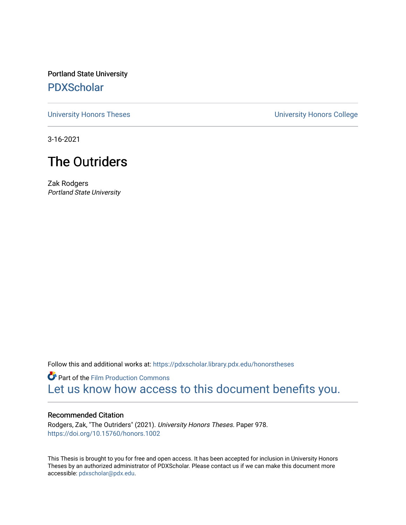Portland State University [PDXScholar](https://pdxscholar.library.pdx.edu/)

[University Honors Theses](https://pdxscholar.library.pdx.edu/honorstheses) [University Honors College](https://pdxscholar.library.pdx.edu/honors) 

3-16-2021

# The Outriders

Zak Rodgers Portland State University

Follow this and additional works at: [https://pdxscholar.library.pdx.edu/honorstheses](https://pdxscholar.library.pdx.edu/honorstheses?utm_source=pdxscholar.library.pdx.edu%2Fhonorstheses%2F978&utm_medium=PDF&utm_campaign=PDFCoverPages) 

**P** Part of the Film Production Commons [Let us know how access to this document benefits you.](http://library.pdx.edu/services/pdxscholar-services/pdxscholar-feedback/) 

#### Recommended Citation

Rodgers, Zak, "The Outriders" (2021). University Honors Theses. Paper 978. <https://doi.org/10.15760/honors.1002>

This Thesis is brought to you for free and open access. It has been accepted for inclusion in University Honors Theses by an authorized administrator of PDXScholar. Please contact us if we can make this document more accessible: [pdxscholar@pdx.edu.](mailto:pdxscholar@pdx.edu)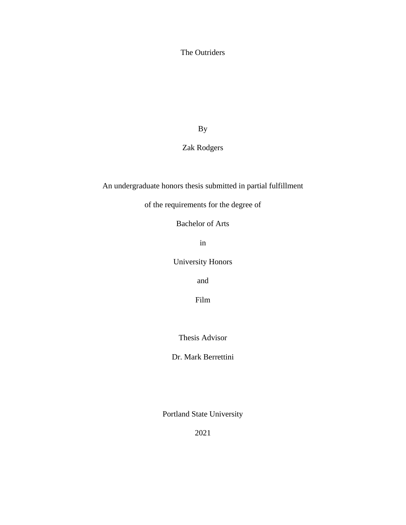The Outriders

By

Zak Rodgers

An undergraduate honors thesis submitted in partial fulfillment

of the requirements for the degree of

Bachelor of Arts

in

University Honors

and

Film

Thesis Advisor

Dr. Mark Berrettini

Portland State University

2021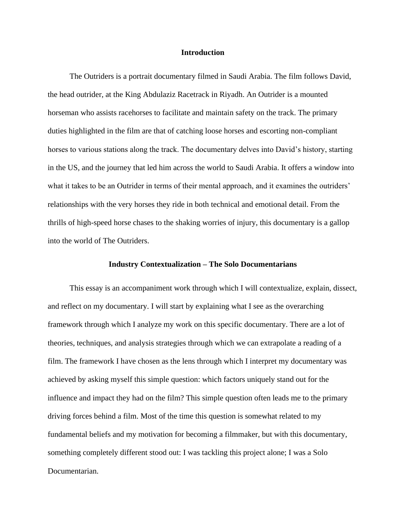#### **Introduction**

 The Outriders is a portrait documentary filmed in Saudi Arabia. The film follows David, the head outrider, at the King Abdulaziz Racetrack in Riyadh. An Outrider is a mounted horseman who assists racehorses to facilitate and maintain safety on the track. The primary duties highlighted in the film are that of catching loose horses and escorting non-compliant horses to various stations along the track. The documentary delves into David's history, starting in the US, and the journey that led him across the world to Saudi Arabia. It offers a window into what it takes to be an Outrider in terms of their mental approach, and it examines the outriders' relationships with the very horses they ride in both technical and emotional detail. From the thrills of high-speed horse chases to the shaking worries of injury, this documentary is a gallop into the world of The Outriders.

#### **Industry Contextualization – The Solo Documentarians**

 This essay is an accompaniment work through which I will contextualize, explain, dissect, and reflect on my documentary. I will start by explaining what I see as the overarching framework through which I analyze my work on this specific documentary. There are a lot of theories, techniques, and analysis strategies through which we can extrapolate a reading of a film. The framework I have chosen as the lens through which I interpret my documentary was achieved by asking myself this simple question: which factors uniquely stand out for the influence and impact they had on the film? This simple question often leads me to the primary driving forces behind a film. Most of the time this question is somewhat related to my fundamental beliefs and my motivation for becoming a filmmaker, but with this documentary, something completely different stood out: I was tackling this project alone; I was a Solo Documentarian.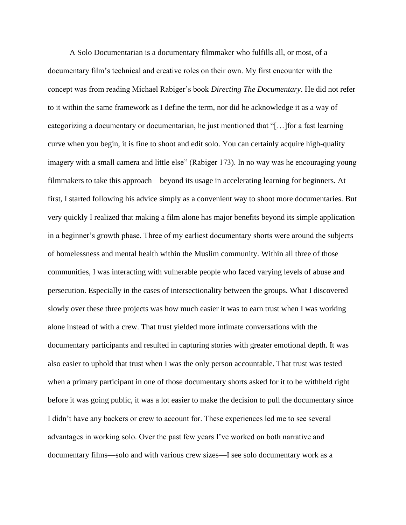A Solo Documentarian is a documentary filmmaker who fulfills all, or most, of a documentary film's technical and creative roles on their own. My first encounter with the concept was from reading Michael Rabiger's book *Directing The Documentary*. He did not refer to it within the same framework as I define the term, nor did he acknowledge it as a way of categorizing a documentary or documentarian, he just mentioned that "[…]for a fast learning curve when you begin, it is fine to shoot and edit solo. You can certainly acquire high-quality imagery with a small camera and little else" (Rabiger 173). In no way was he encouraging young filmmakers to take this approach—beyond its usage in accelerating learning for beginners. At first, I started following his advice simply as a convenient way to shoot more documentaries. But very quickly I realized that making a film alone has major benefits beyond its simple application in a beginner's growth phase. Three of my earliest documentary shorts were around the subjects of homelessness and mental health within the Muslim community. Within all three of those communities, I was interacting with vulnerable people who faced varying levels of abuse and persecution. Especially in the cases of intersectionality between the groups. What I discovered slowly over these three projects was how much easier it was to earn trust when I was working alone instead of with a crew. That trust yielded more intimate conversations with the documentary participants and resulted in capturing stories with greater emotional depth. It was also easier to uphold that trust when I was the only person accountable. That trust was tested when a primary participant in one of those documentary shorts asked for it to be withheld right before it was going public, it was a lot easier to make the decision to pull the documentary since I didn't have any backers or crew to account for. These experiences led me to see several advantages in working solo. Over the past few years I've worked on both narrative and documentary films—solo and with various crew sizes—I see solo documentary work as a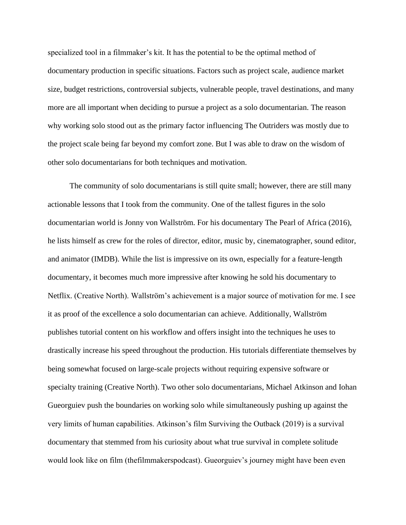specialized tool in a filmmaker's kit. It has the potential to be the optimal method of documentary production in specific situations. Factors such as project scale, audience market size, budget restrictions, controversial subjects, vulnerable people, travel destinations, and many more are all important when deciding to pursue a project as a solo documentarian. The reason why working solo stood out as the primary factor influencing The Outriders was mostly due to the project scale being far beyond my comfort zone. But I was able to draw on the wisdom of other solo documentarians for both techniques and motivation.

 The community of solo documentarians is still quite small; however, there are still many actionable lessons that I took from the community. One of the tallest figures in the solo documentarian world is Jonny von Wallström. For his documentary The Pearl of Africa (2016), he lists himself as crew for the roles of director, editor, music by, cinematographer, sound editor, and animator (IMDB). While the list is impressive on its own, especially for a feature-length documentary, it becomes much more impressive after knowing he sold his documentary to Netflix. (Creative North). Wallström's achievement is a major source of motivation for me. I see it as proof of the excellence a solo documentarian can achieve. Additionally, Wallström publishes tutorial content on his workflow and offers insight into the techniques he uses to drastically increase his speed throughout the production. His tutorials differentiate themselves by being somewhat focused on large-scale projects without requiring expensive software or specialty training (Creative North). Two other solo documentarians, Michael Atkinson and Iohan Gueorguiev push the boundaries on working solo while simultaneously pushing up against the very limits of human capabilities. Atkinson's film Surviving the Outback (2019) is a survival documentary that stemmed from his curiosity about what true survival in complete solitude would look like on film (thefilmmakerspodcast). Gueorguiev's journey might have been even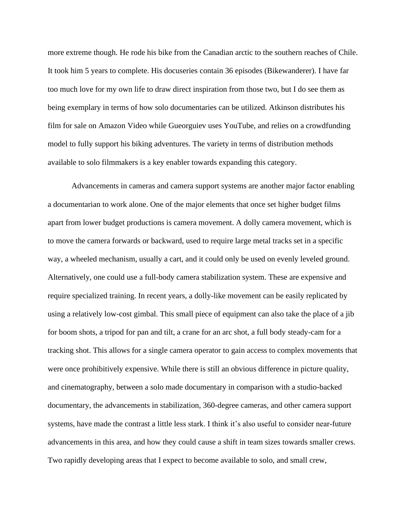more extreme though. He rode his bike from the Canadian arctic to the southern reaches of Chile. It took him 5 years to complete. His docuseries contain 36 episodes (Bikewanderer). I have far too much love for my own life to draw direct inspiration from those two, but I do see them as being exemplary in terms of how solo documentaries can be utilized. Atkinson distributes his film for sale on Amazon Video while Gueorguiev uses YouTube, and relies on a crowdfunding model to fully support his biking adventures. The variety in terms of distribution methods available to solo filmmakers is a key enabler towards expanding this category.

Advancements in cameras and camera support systems are another major factor enabling a documentarian to work alone. One of the major elements that once set higher budget films apart from lower budget productions is camera movement. A dolly camera movement, which is to move the camera forwards or backward, used to require large metal tracks set in a specific way, a wheeled mechanism, usually a cart, and it could only be used on evenly leveled ground. Alternatively, one could use a full-body camera stabilization system. These are expensive and require specialized training. In recent years, a dolly-like movement can be easily replicated by using a relatively low-cost gimbal. This small piece of equipment can also take the place of a jib for boom shots, a tripod for pan and tilt, a crane for an arc shot, a full body steady-cam for a tracking shot. This allows for a single camera operator to gain access to complex movements that were once prohibitively expensive. While there is still an obvious difference in picture quality, and cinematography, between a solo made documentary in comparison with a studio-backed documentary, the advancements in stabilization, 360-degree cameras, and other camera support systems, have made the contrast a little less stark. I think it's also useful to consider near-future advancements in this area, and how they could cause a shift in team sizes towards smaller crews. Two rapidly developing areas that I expect to become available to solo, and small crew,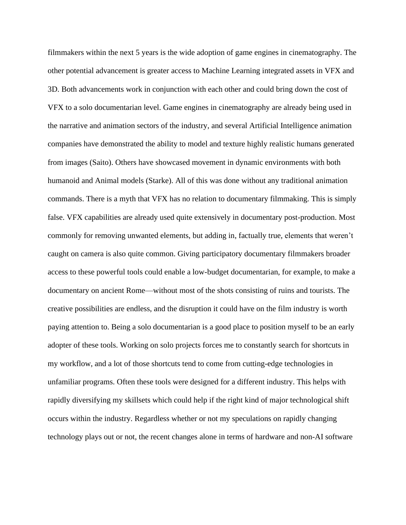filmmakers within the next 5 years is the wide adoption of game engines in cinematography. The other potential advancement is greater access to Machine Learning integrated assets in VFX and 3D. Both advancements work in conjunction with each other and could bring down the cost of VFX to a solo documentarian level. Game engines in cinematography are already being used in the narrative and animation sectors of the industry, and several Artificial Intelligence animation companies have demonstrated the ability to model and texture highly realistic humans generated from images (Saito). Others have showcased movement in dynamic environments with both humanoid and Animal models (Starke). All of this was done without any traditional animation commands. There is a myth that VFX has no relation to documentary filmmaking. This is simply false. VFX capabilities are already used quite extensively in documentary post-production. Most commonly for removing unwanted elements, but adding in, factually true, elements that weren't caught on camera is also quite common. Giving participatory documentary filmmakers broader access to these powerful tools could enable a low-budget documentarian, for example, to make a documentary on ancient Rome—without most of the shots consisting of ruins and tourists. The creative possibilities are endless, and the disruption it could have on the film industry is worth paying attention to. Being a solo documentarian is a good place to position myself to be an early adopter of these tools. Working on solo projects forces me to constantly search for shortcuts in my workflow, and a lot of those shortcuts tend to come from cutting-edge technologies in unfamiliar programs. Often these tools were designed for a different industry. This helps with rapidly diversifying my skillsets which could help if the right kind of major technological shift occurs within the industry. Regardless whether or not my speculations on rapidly changing technology plays out or not, the recent changes alone in terms of hardware and non-AI software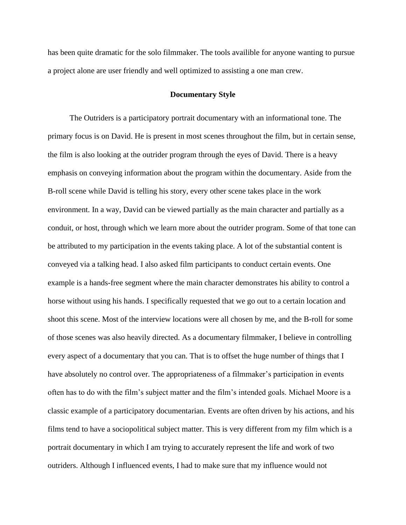has been quite dramatic for the solo filmmaker. The tools availible for anyone wanting to pursue a project alone are user friendly and well optimized to assisting a one man crew.

### **Documentary Style**

 The Outriders is a participatory portrait documentary with an informational tone. The primary focus is on David. He is present in most scenes throughout the film, but in certain sense, the film is also looking at the outrider program through the eyes of David. There is a heavy emphasis on conveying information about the program within the documentary. Aside from the B-roll scene while David is telling his story, every other scene takes place in the work environment. In a way, David can be viewed partially as the main character and partially as a conduit, or host, through which we learn more about the outrider program. Some of that tone can be attributed to my participation in the events taking place. A lot of the substantial content is conveyed via a talking head. I also asked film participants to conduct certain events. One example is a hands-free segment where the main character demonstrates his ability to control a horse without using his hands. I specifically requested that we go out to a certain location and shoot this scene. Most of the interview locations were all chosen by me, and the B-roll for some of those scenes was also heavily directed. As a documentary filmmaker, I believe in controlling every aspect of a documentary that you can. That is to offset the huge number of things that I have absolutely no control over. The appropriateness of a filmmaker's participation in events often has to do with the film's subject matter and the film's intended goals. Michael Moore is a classic example of a participatory documentarian. Events are often driven by his actions, and his films tend to have a sociopolitical subject matter. This is very different from my film which is a portrait documentary in which I am trying to accurately represent the life and work of two outriders. Although I influenced events, I had to make sure that my influence would not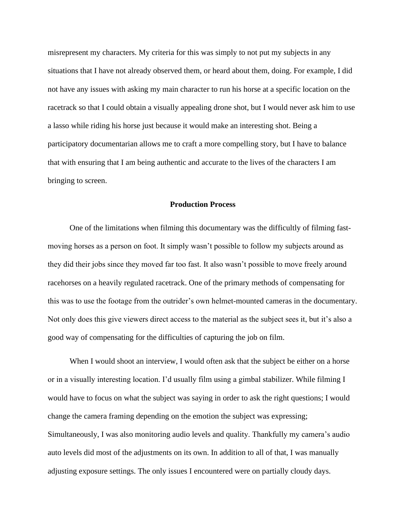misrepresent my characters. My criteria for this was simply to not put my subjects in any situations that I have not already observed them, or heard about them, doing. For example, I did not have any issues with asking my main character to run his horse at a specific location on the racetrack so that I could obtain a visually appealing drone shot, but I would never ask him to use a lasso while riding his horse just because it would make an interesting shot. Being a participatory documentarian allows me to craft a more compelling story, but I have to balance that with ensuring that I am being authentic and accurate to the lives of the characters I am bringing to screen.

## **Production Process**

 One of the limitations when filming this documentary was the difficultly of filming fastmoving horses as a person on foot. It simply wasn't possible to follow my subjects around as they did their jobs since they moved far too fast. It also wasn't possible to move freely around racehorses on a heavily regulated racetrack. One of the primary methods of compensating for this was to use the footage from the outrider's own helmet-mounted cameras in the documentary. Not only does this give viewers direct access to the material as the subject sees it, but it's also a good way of compensating for the difficulties of capturing the job on film.

When I would shoot an interview, I would often ask that the subject be either on a horse or in a visually interesting location. I'd usually film using a gimbal stabilizer. While filming I would have to focus on what the subject was saying in order to ask the right questions; I would change the camera framing depending on the emotion the subject was expressing; Simultaneously, I was also monitoring audio levels and quality. Thankfully my camera's audio auto levels did most of the adjustments on its own. In addition to all of that, I was manually adjusting exposure settings. The only issues I encountered were on partially cloudy days.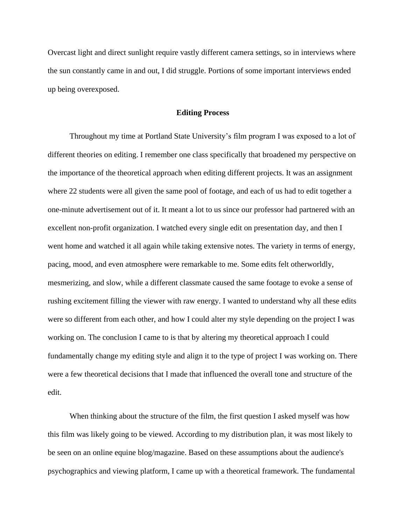Overcast light and direct sunlight require vastly different camera settings, so in interviews where the sun constantly came in and out, I did struggle. Portions of some important interviews ended up being overexposed.

### **Editing Process**

 Throughout my time at Portland State University's film program I was exposed to a lot of different theories on editing. I remember one class specifically that broadened my perspective on the importance of the theoretical approach when editing different projects. It was an assignment where 22 students were all given the same pool of footage, and each of us had to edit together a one-minute advertisement out of it. It meant a lot to us since our professor had partnered with an excellent non-profit organization. I watched every single edit on presentation day, and then I went home and watched it all again while taking extensive notes. The variety in terms of energy, pacing, mood, and even atmosphere were remarkable to me. Some edits felt otherworldly, mesmerizing, and slow, while a different classmate caused the same footage to evoke a sense of rushing excitement filling the viewer with raw energy. I wanted to understand why all these edits were so different from each other, and how I could alter my style depending on the project I was working on. The conclusion I came to is that by altering my theoretical approach I could fundamentally change my editing style and align it to the type of project I was working on. There were a few theoretical decisions that I made that influenced the overall tone and structure of the edit.

 When thinking about the structure of the film, the first question I asked myself was how this film was likely going to be viewed. According to my distribution plan, it was most likely to be seen on an online equine blog/magazine. Based on these assumptions about the audience's psychographics and viewing platform, I came up with a theoretical framework. The fundamental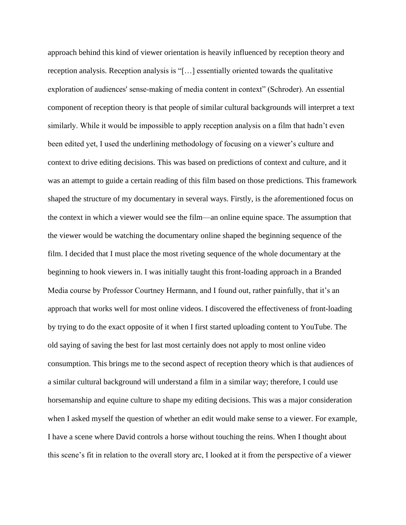approach behind this kind of viewer orientation is heavily influenced by reception theory and reception analysis. Reception analysis is "[…] essentially oriented towards the qualitative exploration of audiences' sense‐making of media content in context" (Schroder). An essential component of reception theory is that people of similar cultural backgrounds will interpret a text similarly. While it would be impossible to apply reception analysis on a film that hadn't even been edited yet, I used the underlining methodology of focusing on a viewer's culture and context to drive editing decisions. This was based on predictions of context and culture, and it was an attempt to guide a certain reading of this film based on those predictions. This framework shaped the structure of my documentary in several ways. Firstly, is the aforementioned focus on the context in which a viewer would see the film—an online equine space. The assumption that the viewer would be watching the documentary online shaped the beginning sequence of the film. I decided that I must place the most riveting sequence of the whole documentary at the beginning to hook viewers in. I was initially taught this front-loading approach in a Branded Media course by Professor Courtney Hermann, and I found out, rather painfully, that it's an approach that works well for most online videos. I discovered the effectiveness of front-loading by trying to do the exact opposite of it when I first started uploading content to YouTube. The old saying of saving the best for last most certainly does not apply to most online video consumption. This brings me to the second aspect of reception theory which is that audiences of a similar cultural background will understand a film in a similar way; therefore, I could use horsemanship and equine culture to shape my editing decisions. This was a major consideration when I asked myself the question of whether an edit would make sense to a viewer. For example, I have a scene where David controls a horse without touching the reins. When I thought about this scene's fit in relation to the overall story arc, I looked at it from the perspective of a viewer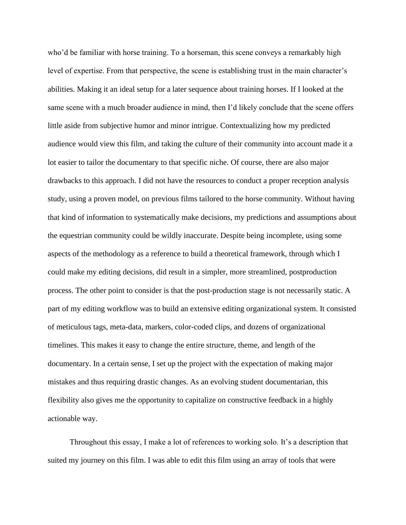who'd be familiar with horse training. To a horseman, this scene conveys a remarkably high level of expertise. From that perspective, the scene is establishing trust in the main character's abilities. Making it an ideal setup for a later sequence about training horses. If I looked at the same scene with a much broader audience in mind, then I'd likely conclude that the scene offers little aside from subjective humor and minor intrigue. Contextualizing how my predicted audience would view this film, and taking the culture of their community into account made it a lot easier to tailor the documentary to that specific niche. Of course, there are also major drawbacks to this approach. I did not have the resources to conduct a proper reception analysis study, using a proven model, on previous films tailored to the horse community. Without having that kind of information to systematically make decisions, my predictions and assumptions about the equestrian community could be wildly inaccurate. Despite being incomplete, using some aspects of the methodology as a reference to build a theoretical framework, through which I could make my editing decisions, did result in a simpler, more streamlined, postproduction process. The other point to consider is that the post-production stage is not necessarily static. A part of my editing workflow was to build an extensive editing organizational system. It consisted of meticulous tags, meta-data, markers, color-coded clips, and dozens of organizational timelines. This makes it easy to change the entire structure, theme, and length of the documentary. In a certain sense, I set up the project with the expectation of making major mistakes and thus requiring drastic changes. As an evolving student documentarian, this flexibility also gives me the opportunity to capitalize on constructive feedback in a highly actionable way.

 Throughout this essay, I make a lot of references to working solo. It's a description that suited my journey on this film. I was able to edit this film using an array of tools that were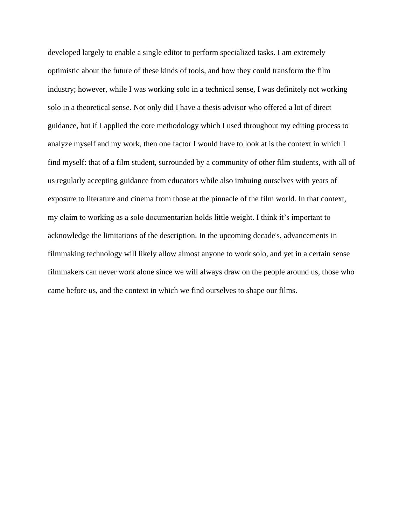developed largely to enable a single editor to perform specialized tasks. I am extremely optimistic about the future of these kinds of tools, and how they could transform the film industry; however, while I was working solo in a technical sense, I was definitely not working solo in a theoretical sense. Not only did I have a thesis advisor who offered a lot of direct guidance, but if I applied the core methodology which I used throughout my editing process to analyze myself and my work, then one factor I would have to look at is the context in which I find myself: that of a film student, surrounded by a community of other film students, with all of us regularly accepting guidance from educators while also imbuing ourselves with years of exposure to literature and cinema from those at the pinnacle of the film world. In that context, my claim to working as a solo documentarian holds little weight. I think it's important to acknowledge the limitations of the description. In the upcoming decade's, advancements in filmmaking technology will likely allow almost anyone to work solo, and yet in a certain sense filmmakers can never work alone since we will always draw on the people around us, those who came before us, and the context in which we find ourselves to shape our films.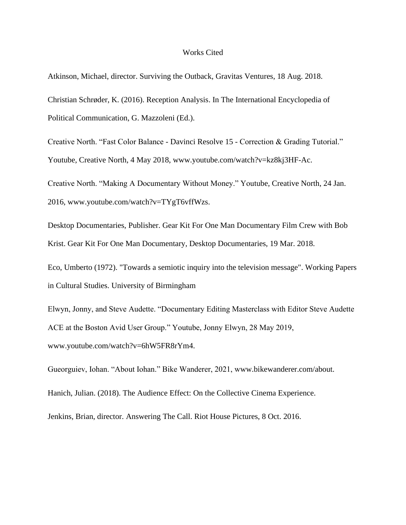#### Works Cited

Atkinson, Michael, director. Surviving the Outback, Gravitas Ventures, 18 Aug. 2018.

Christian Schrøder, K. (2016). Reception Analysis. In The International Encyclopedia of Political Communication, G. Mazzoleni (Ed.).

Creative North. "Fast Color Balance - Davinci Resolve 15 - Correction & Grading Tutorial." Youtube, Creative North, 4 May 2018, www.youtube.com/watch?v=kz8kj3HF-Ac.

Creative North. "Making A Documentary Without Money." Youtube, Creative North, 24 Jan. 2016, www.youtube.com/watch?v=TYgT6vffWzs.

Desktop Documentaries, Publisher. Gear Kit For One Man Documentary Film Crew with Bob Krist. Gear Kit For One Man Documentary, Desktop Documentaries, 19 Mar. 2018.

Eco, Umberto (1972). "Towards a semiotic inquiry into the television message". Working Papers in Cultural Studies. University of Birmingham

Elwyn, Jonny, and Steve Audette. "Documentary Editing Masterclass with Editor Steve Audette ACE at the Boston Avid User Group." Youtube, Jonny Elwyn, 28 May 2019, www.youtube.com/watch?v=6hW5FR8rYm4.

Gueorguiev, Iohan. "About Iohan." Bike Wanderer, 2021, www.bikewanderer.com/about.

Hanich, Julian. (2018). The Audience Effect: On the Collective Cinema Experience.

Jenkins, Brian, director. Answering The Call. Riot House Pictures, 8 Oct. 2016.